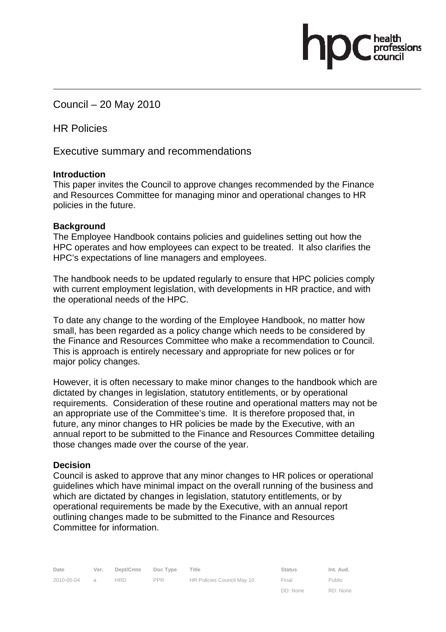Council – 20 May 2010

HR Policies

Executive summary and recommendations

## **Introduction**

This paper invites the Council to approve changes recommended by the Finance and Resources Committee for managing minor and operational changes to HR policies in the future.

## **Background**

The Employee Handbook contains policies and guidelines setting out how the HPC operates and how employees can expect to be treated. It also clarifies the HPC's expectations of line managers and employees.

The handbook needs to be updated regularly to ensure that HPC policies comply with current employment legislation, with developments in HR practice, and with the operational needs of the HPC.

To date any change to the wording of the Employee Handbook, no matter how small, has been regarded as a policy change which needs to be considered by the Finance and Resources Committee who make a recommendation to Council. This is approach is entirely necessary and appropriate for new polices or for major policy changes.

However, it is often necessary to make minor changes to the handbook which are dictated by changes in legislation, statutory entitlements, or by operational requirements. Consideration of these routine and operational matters may not be an appropriate use of the Committee's time. It is therefore proposed that, in future, any minor changes to HR policies be made by the Executive, with an annual report to be submitted to the Finance and Resources Committee detailing those changes made over the course of the year.

## **Decision**

Council is asked to approve that any minor changes to HR polices or operational guidelines which have minimal impact on the overall running of the business and which are dictated by changes in legislation, statutory entitlements, or by operational requirements be made by the Executive, with an annual report outlining changes made to be submitted to the Finance and Resources Committee for information.

DD: None

RD: None